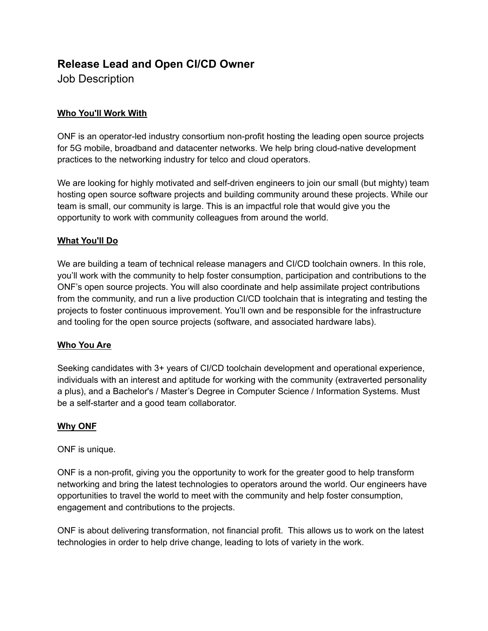# **Release Lead and Open CI/CD Owner**

Job Description

# **Who You'll Work With**

ONF is an operator-led industry consortium non-profit hosting the leading open source projects for 5G mobile, broadband and datacenter networks. We help bring cloud-native development practices to the networking industry for telco and cloud operators.

We are looking for highly motivated and self-driven engineers to join our small (but mighty) team hosting open source software projects and building community around these projects. While our team is small, our community is large. This is an impactful role that would give you the opportunity to work with community colleagues from around the world.

## **What You'll Do**

We are building a team of technical release managers and CI/CD toolchain owners. In this role, you'll work with the community to help foster consumption, participation and contributions to the ONF's open source projects. You will also coordinate and help assimilate project contributions from the community, and run a live production CI/CD toolchain that is integrating and testing the projects to foster continuous improvement. You'll own and be responsible for the infrastructure and tooling for the open source projects (software, and associated hardware labs).

## **Who You Are**

Seeking candidates with 3+ years of CI/CD toolchain development and operational experience, individuals with an interest and aptitude for working with the community (extraverted personality a plus), and a Bachelor's / Master's Degree in Computer Science / Information Systems. Must be a self-starter and a good team collaborator.

## **Why ONF**

ONF is unique.

ONF is a non-profit, giving you the opportunity to work for the greater good to help transform networking and bring the latest technologies to operators around the world. Our engineers have opportunities to travel the world to meet with the community and help foster consumption, engagement and contributions to the projects.

ONF is about delivering transformation, not financial profit. This allows us to work on the latest technologies in order to help drive change, leading to lots of variety in the work.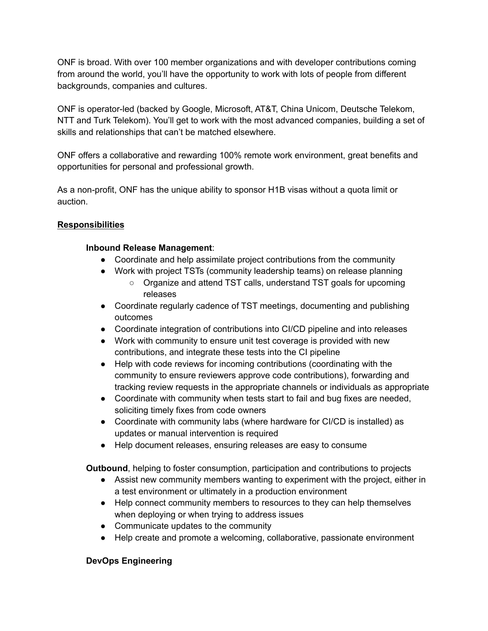ONF is broad. With over 100 member organizations and with developer contributions coming from around the world, you'll have the opportunity to work with lots of people from different backgrounds, companies and cultures.

ONF is operator-led (backed by Google, Microsoft, AT&T, China Unicom, Deutsche Telekom, NTT and Turk Telekom). You'll get to work with the most advanced companies, building a set of skills and relationships that can't be matched elsewhere.

ONF offers a collaborative and rewarding 100% remote work environment, great benefits and opportunities for personal and professional growth.

As a non-profit, ONF has the unique ability to sponsor H1B visas without a quota limit or auction.

### **Responsibilities**

### **Inbound Release Management**:

- Coordinate and help assimilate project contributions from the community
- Work with project TSTs (community leadership teams) on release planning
	- Organize and attend TST calls, understand TST goals for upcoming releases
- Coordinate regularly cadence of TST meetings, documenting and publishing outcomes
- Coordinate integration of contributions into CI/CD pipeline and into releases
- Work with community to ensure unit test coverage is provided with new contributions, and integrate these tests into the CI pipeline
- Help with code reviews for incoming contributions (coordinating with the community to ensure reviewers approve code contributions), forwarding and tracking review requests in the appropriate channels or individuals as appropriate
- Coordinate with community when tests start to fail and bug fixes are needed, soliciting timely fixes from code owners
- Coordinate with community labs (where hardware for CI/CD is installed) as updates or manual intervention is required
- Help document releases, ensuring releases are easy to consume

**Outbound**, helping to foster consumption, participation and contributions to projects

- Assist new community members wanting to experiment with the project, either in a test environment or ultimately in a production environment
- Help connect community members to resources to they can help themselves when deploying or when trying to address issues
- Communicate updates to the community
- Help create and promote a welcoming, collaborative, passionate environment

# **DevOps Engineering**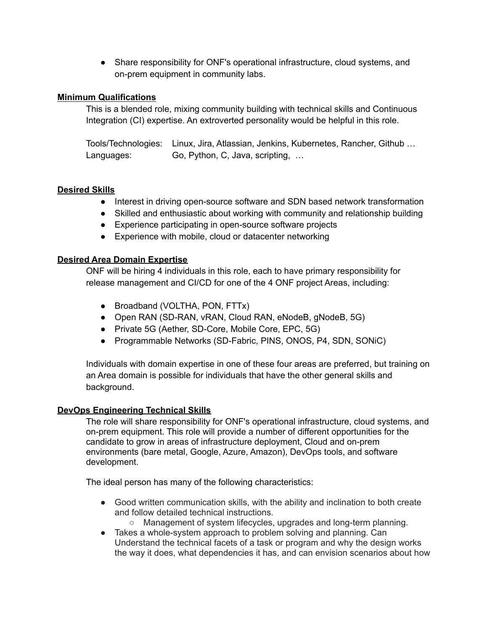• Share responsibility for ONF's operational infrastructure, cloud systems, and on-prem equipment in community labs.

### **Minimum Qualifications**

This is a blended role, mixing community building with technical skills and Continuous Integration (CI) expertise. An extroverted personality would be helpful in this role.

Tools/Technologies: Linux, Jira, Atlassian, Jenkins, Kubernetes, Rancher, Github … Languages: Go, Python, C, Java, scripting, …

### **Desired Skills**

- Interest in driving open-source software and SDN based network transformation
- Skilled and enthusiastic about working with community and relationship building
- Experience participating in open-source software projects
- Experience with mobile, cloud or datacenter networking

### **Desired Area Domain Expertise**

ONF will be hiring 4 individuals in this role, each to have primary responsibility for release management and CI/CD for one of the 4 ONF project Areas, including:

- Broadband (VOLTHA, PON, FTTx)
- Open RAN (SD-RAN, vRAN, Cloud RAN, eNodeB, qNodeB, 5G)
- Private 5G (Aether, SD-Core, Mobile Core, EPC, 5G)
- Programmable Networks (SD-Fabric, PINS, ONOS, P4, SDN, SONiC)

Individuals with domain expertise in one of these four areas are preferred, but training on an Area domain is possible for individuals that have the other general skills and background.

### **DevOps Engineering Technical Skills**

The role will share responsibility for ONF's operational infrastructure, cloud systems, and on-prem equipment. This role will provide a number of different opportunities for the candidate to grow in areas of infrastructure deployment, Cloud and on-prem environments (bare metal, Google, Azure, Amazon), DevOps tools, and software development.

The ideal person has many of the following characteristics:

- Good written communication skills, with the ability and inclination to both create and follow detailed technical instructions.
	- Management of system lifecycles, upgrades and long-term planning.
- Takes a whole-system approach to problem solving and planning. Can Understand the technical facets of a task or program and why the design works the way it does, what dependencies it has, and can envision scenarios about how